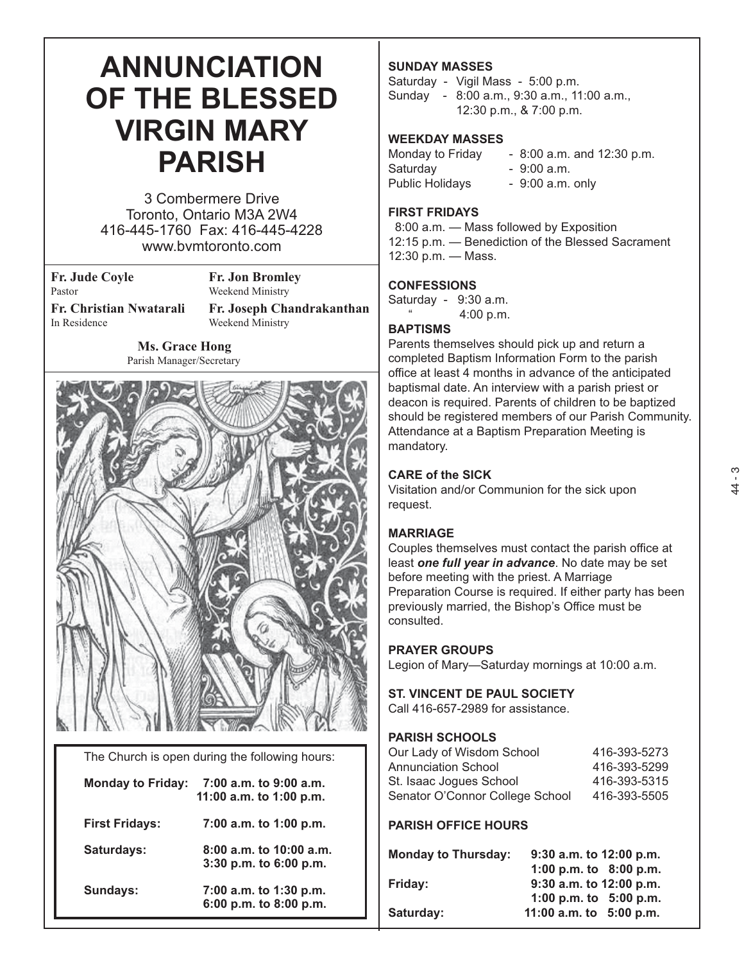# **ANNUNCIATION OF THE BLESSED VIRGIN MARY PARISH**

3 Combermere Drive Toronto, Ontario M3A 2W4 416-445-1760 Fax: 416-445-4228 www.bvmtoronto.com

**Fr. Jude Coyle** Fr. Jon Bromley<br>Pastor **Fr. Jon Bromley** 

Weekend Ministry

**Fr. Christian Nwatarali** Fr. Joseph Chandrakanthan<br>In Residence Weekend Ministry Weekend Ministry

 **Ms. Grace Hong**

Parish Manager/Secretary



The Church is open during the following hours:

| <b>Monday to Friday:</b> | 7:00 a.m. to 9:00 a.m.<br>11:00 a.m. to 1:00 p.m.       |
|--------------------------|---------------------------------------------------------|
| <b>First Fridays:</b>    | 7:00 a.m. to 1:00 p.m.                                  |
| Saturdays:               | $8:00$ a.m. to 10:00 a.m.<br>$3:30$ p.m. to $6:00$ p.m. |
| Sundays:                 | 7:00 a.m. to 1:30 p.m.<br>6:00 p.m. to 8:00 p.m.        |

#### **SUNDAY MASSES**

Saturday - Vigil Mass - 5:00 p.m. Sunday - 8:00 a.m., 9:30 a.m., 11:00 a.m., 12:30 p.m., & 7:00 p.m.

#### **WEEKDAY MASSES**

Monday to Friday  $-8:00$  a.m. and 12:30 p.m. Saturday - 9:00 a.m. Public Holidays - 9:00 a.m. only

#### **FIRST FRIDAYS**

 8:00 a.m. — Mass followed by Exposition 12:15 p.m. — Benediction of the Blessed Sacrament 12:30 p.m. — Mass.

#### **CONFESSIONS**

Saturday - 9:30 a.m. 4:00 p.m.

#### **BAPTISMS**

Parents themselves should pick up and return a completed Baptism Information Form to the parish office at least 4 months in advance of the anticipated baptismal date. An interview with a parish priest or deacon is required. Parents of children to be baptized should be registered members of our Parish Community. Attendance at a Baptism Preparation Meeting is mandatory.

#### **CARE of the SICK**

Visitation and/or Communion for the sick upon request.

#### **MARRIAGE**

Couples themselves must contact the parish office at least *one full year in advance*. No date may be set before meeting with the priest. A Marriage Preparation Course is required. If either party has been previously married, the Bishop's Office must be consulted.

#### **PRAYER GROUPS**

Legion of Mary—Saturday mornings at 10:00 a.m.

#### **ST. VINCENT DE PAUL SOCIETY**

Call 416-657-2989 for assistance.

#### **PARISH SCHOOLS**

| 416-393-5273 |
|--------------|
| 416-393-5299 |
| 416-393-5315 |
| 416-393-5505 |
|              |

#### **PARISH OFFICE HOURS**

| <b>Monday to Thursday:</b> | 9:30 a.m. to 12:00 p.m.   |
|----------------------------|---------------------------|
|                            | 1:00 p.m. to $8:00$ p.m.  |
| <b>Friday:</b>             | $9:30$ a.m. to 12:00 p.m. |
|                            | 1:00 p.m. to $5:00$ p.m.  |
| Saturday:                  | 11:00 a.m. to $5:00$ p.m. |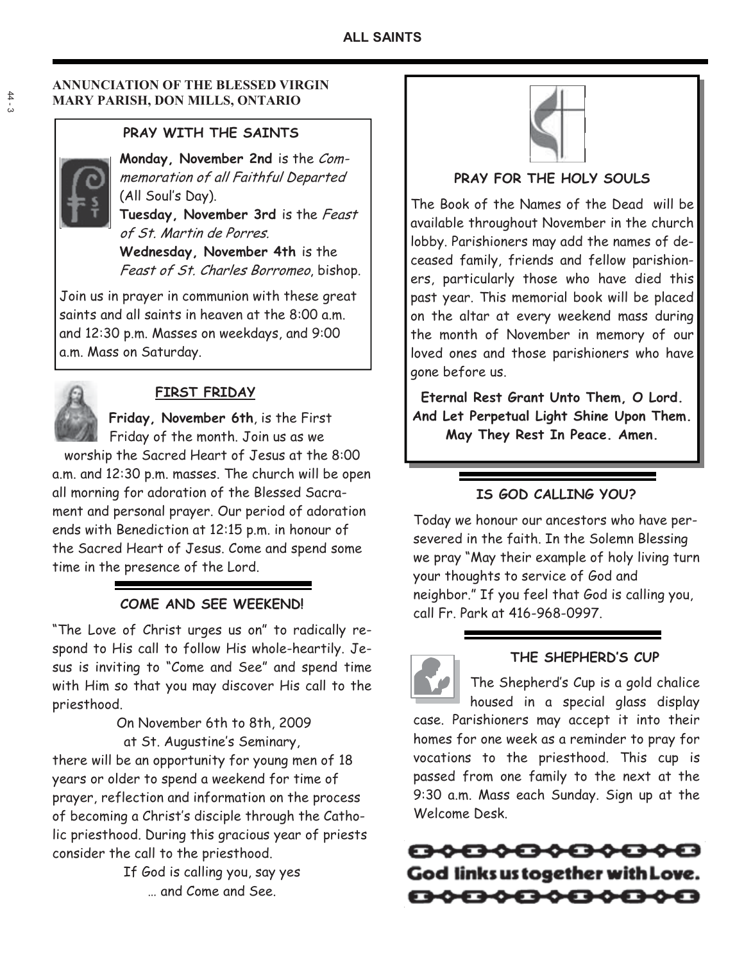#### **ANNUNCIATION OF THE BLESSED VIRGIN MARY PARISH, DON MILLS, ONTARIO**

## **PRAY WITH THE SAINTS**

**Monday, November 2nd** is the Commemoration of all Faithful Departed (All Soul's Day).

**Tuesday, November 3rd** is the Feast of St. Martin de Porres.

**Wednesday, November 4th** is the Feast of St. Charles Borromeo, bishop.

Join us in prayer in communion with these great saints and all saints in heaven at the 8:00 a.m. and 12:30 p.m. Masses on weekdays, and 9:00 a.m. Mass on Saturday.



## **FIRST FRIDAY**

 **Friday, November 6th**, is the First Friday of the month. Join us as we

 worship the Sacred Heart of Jesus at the 8:00 a.m. and 12:30 p.m. masses. The church will be open all morning for adoration of the Blessed Sacrament and personal prayer. Our period of adoration ends with Benediction at 12:15 p.m. in honour of the Sacred Heart of Jesus. Come and spend some time in the presence of the Lord.

## **COME AND SEE WEEKEND!**

"The Love of Christ urges us on" to radically respond to His call to follow His whole-heartily. Jesus is inviting to "Come and See" and spend time with Him so that you may discover His call to the priesthood.

 On November 6th to 8th, 2009 at St. Augustine's Seminary,

there will be an opportunity for young men of 18 years or older to spend a weekend for time of prayer, reflection and information on the process of becoming a Christ's disciple through the Catholic priesthood. During this gracious year of priests consider the call to the priesthood.

> If God is calling you, say yes … and Come and See.



## **PRAY FOR THE HOLY SOULS**

The Book of the Names of the Dead will be available throughout November in the church lobby. Parishioners may add the names of deceased family, friends and fellow parishioners, particularly those who have died this past year. This memorial book will be placed on the altar at every weekend mass during the month of November in memory of our loved ones and those parishioners who have gone before us.

**Eternal Rest Grant Unto Them, O Lord. And Let Perpetual Light Shine Upon Them. May They Rest In Peace. Amen.** 

## **IS GOD CALLING YOU?**

Today we honour our ancestors who have persevered in the faith. In the Solemn Blessing we pray "May their example of holy living turn your thoughts to service of God and neighbor." If you feel that God is calling you, call Fr. Park at 416-968-0997.



## **THE SHEPHERD'S CUP**

The Shepherd's Cup is a gold chalice housed in a special glass display case. Parishioners may accept it into their homes for one week as a reminder to pray for vocations to the priesthood. This cup is passed from one family to the next at the 9:30 a.m. Mass each Sunday. Sign up at the Welcome Desk.

<del>80808000</del> God links us together with Love. 80808080808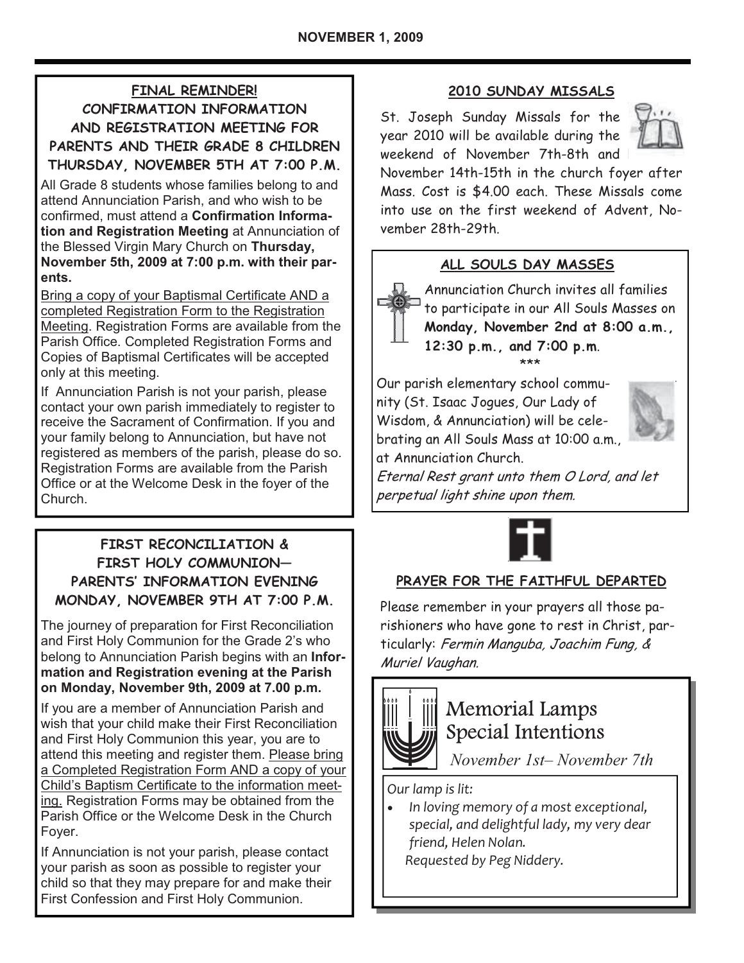## **FINAL REMINDER!**

**CONFIRMATION INFORMATION AND REGISTRATION MEETING FOR PARENTS AND THEIR GRADE 8 CHILDREN THURSDAY, NOVEMBER 5TH AT 7:00 P.M.** 

All Grade 8 students whose families belong to and attend Annunciation Parish, and who wish to be confirmed, must attend a **Confirmation Information and Registration Meeting** at Annunciation of the Blessed Virgin Mary Church on **Thursday, November 5th, 2009 at 7:00 p.m. with their parents.** 

Bring a copy of your Baptismal Certificate AND a completed Registration Form to the Registration Meeting. Registration Forms are available from the Parish Office. Completed Registration Forms and Copies of Baptismal Certificates will be accepted only at this meeting.

If Annunciation Parish is not your parish, please contact your own parish immediately to register to receive the Sacrament of Confirmation. If you and your family belong to Annunciation, but have not registered as members of the parish, please do so. Registration Forms are available from the Parish Office or at the Welcome Desk in the foyer of the Church.

## **FIRST RECONCILIATION & FIRST HOLY COMMUNION— PARENTS' INFORMATION EVENING MONDAY, NOVEMBER 9TH AT 7:00 P.M.**

The journey of preparation for First Reconciliation and First Holy Communion for the Grade 2's who belong to Annunciation Parish begins with an **Information and Registration evening at the Parish on Monday, November 9th, 2009 at 7.00 p.m.** 

If you are a member of Annunciation Parish and wish that your child make their First Reconciliation and First Holy Communion this year, you are to attend this meeting and register them. Please bring a Completed Registration Form AND a copy of your Child's Baptism Certificate to the information meeting. Registration Forms may be obtained from the Parish Office or the Welcome Desk in the Church Foyer.

If Annunciation is not your parish, please contact your parish as soon as possible to register your child so that they may prepare for and make their First Confession and First Holy Communion.

## **2010 SUNDAY MISSALS**

St. Joseph Sunday Missals for the year 2010 will be available during the weekend of November 7th-8th and



November 14th-15th in the church foyer after Mass. Cost is \$4.00 each. These Missals come into use on the first weekend of Advent, November 28th-29th.

## **ALL SOULS DAY MASSES**

Annunciation Church invites all families to participate in our All Souls Masses on **Monday, November 2nd at 8:00 a.m., 12:30 p.m., and 7:00 p.m**. \*\*\*

Our parish elementary school community (St. Isaac Jogues, Our Lady of Wisdom, & Annunciation) will be celebrating an All Souls Mass at 10:00 a.m., at Annunciation Church.



Eternal Rest grant unto them O Lord, and let perpetual light shine upon them.



## **PRAYER FOR THE FAITHFUL DEPARTED**

Please remember in your prayers all those parishioners who have gone to rest in Christ, particularly: Fermin Manguba, Joachim Fung, & Muriel Vaughan.



## Memorial Lamps Special Intentions

 *November 1st– November 7th* 

*Our lamp is lit:* 

 $\bullet$  *In loving memory of a most exceptional, special, and delightful lady, my very dear friend, Helen Nolan.* 

 *Requested by Peg Niddery.*